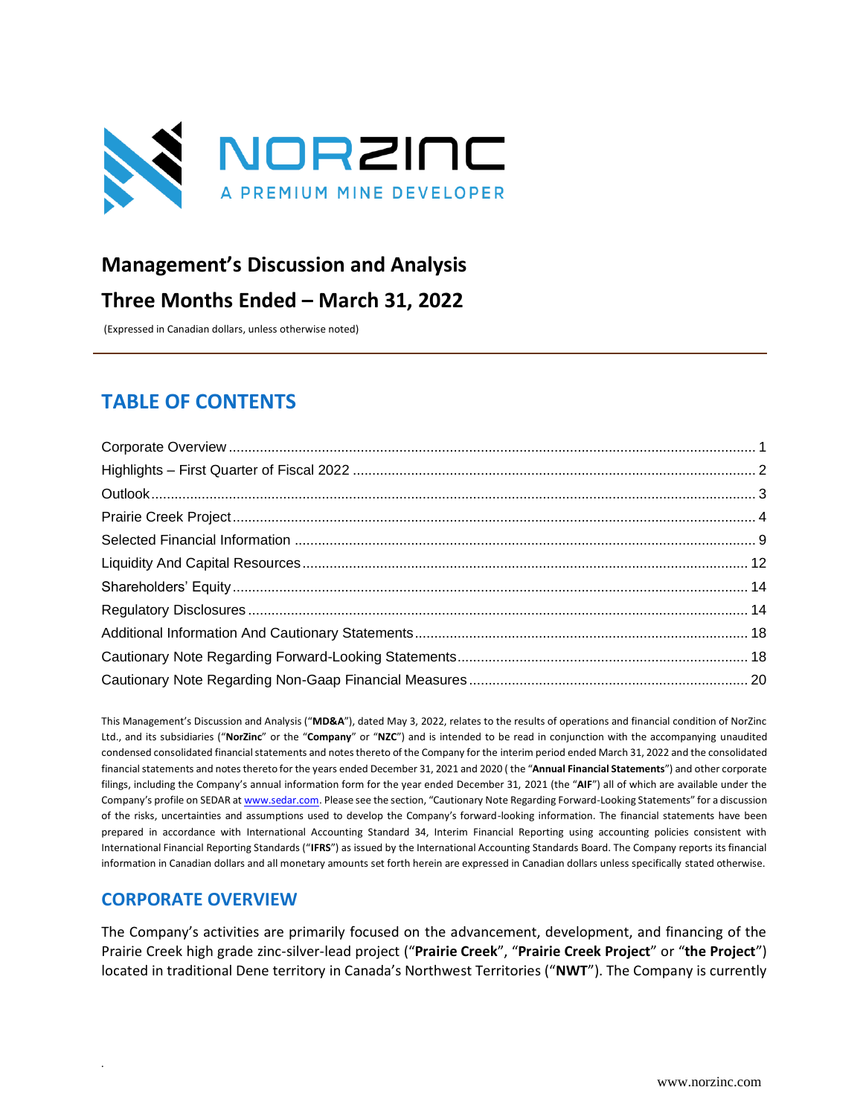

# **Management's Discussion and Analysis**

# **Three Months Ended – March 31, 2022**

(Expressed in Canadian dollars, unless otherwise noted)

# **TABLE OF CONTENTS**

This Management's Discussion and Analysis ("**MD&A**"), dated May 3, 2022, relates to the results of operations and financial condition of NorZinc Ltd., and its subsidiaries ("**NorZinc**" or the "**Company**" or "**NZC**") and is intended to be read in conjunction with the accompanying unaudited condensed consolidated financial statements and notes thereto of the Company for the interim period ended March 31, 2022 and the consolidated financial statements and notes thereto for the years ended December 31, 2021 and 2020 ( the "**Annual Financial Statements**") and other corporate filings, including the Company's annual information form for the year ended December 31, 2021 (the "**AIF**") all of which are available under the Company's profile on SEDAR at [www.sedar.com](http://www.sedar.com/). Please see the section, "Cautionary Note Regarding Forward-Looking Statements" for a discussion of the risks, uncertainties and assumptions used to develop the Company's forward-looking information. The financial statements have been prepared in accordance with International Accounting Standard 34, Interim Financial Reporting using accounting policies consistent with International Financial Reporting Standards ("**IFRS**") as issued by the International Accounting Standards Board. The Company reports its financial information in Canadian dollars and all monetary amounts set forth herein are expressed in Canadian dollars unless specifically stated otherwise.

# <span id="page-0-0"></span>**CORPORATE OVERVIEW**

*.* 

The Company's activities are primarily focused on the advancement, development, and financing of the Prairie Creek high grade zinc-silver-lead project ("**Prairie Creek**", "**Prairie Creek Project**" or "**the Project**") located in traditional Dene territory in Canada's Northwest Territories ("**NWT**"). The Company is currently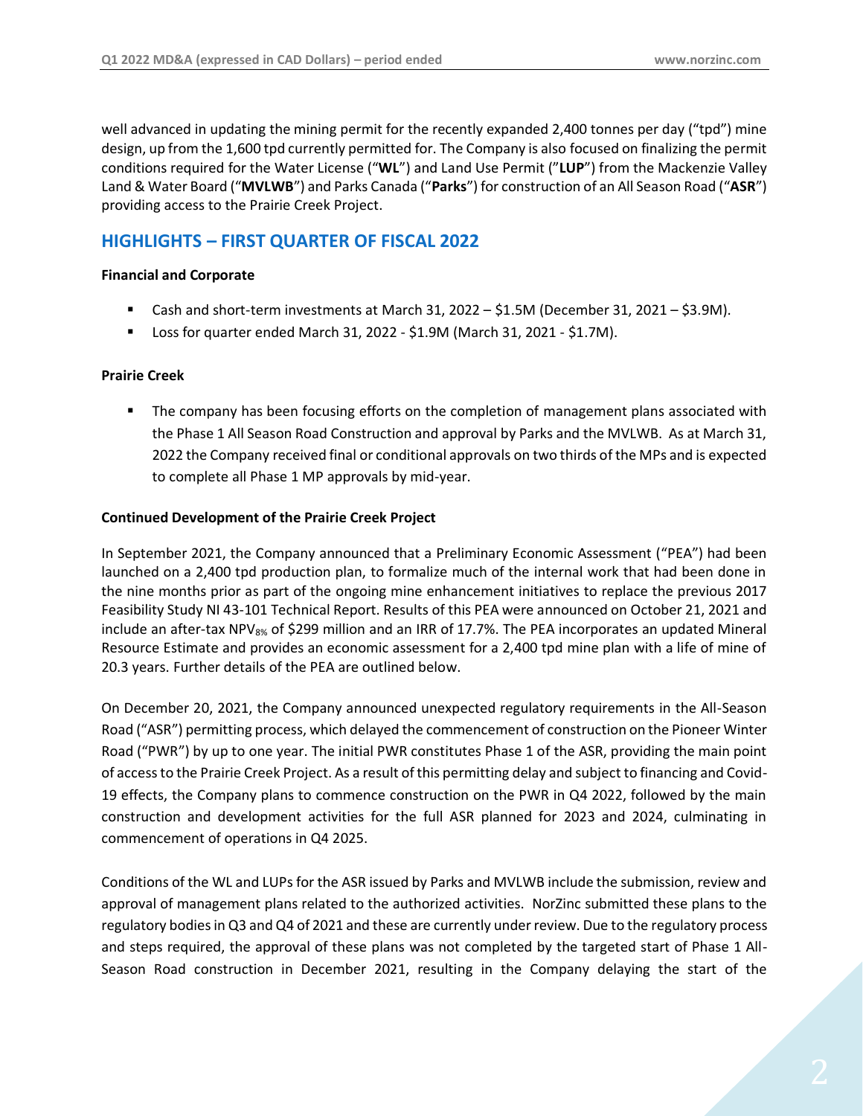well advanced in updating the mining permit for the recently expanded 2,400 tonnes per day ("tpd") mine design, up from the 1,600 tpd currently permitted for. The Company is also focused on finalizing the permit conditions required for the Water License ("**WL**") and Land Use Permit ("**LUP**") from the Mackenzie Valley Land & Water Board ("**MVLWB**") and Parks Canada ("**Parks**") for construction of an All Season Road ("**ASR**") providing access to the Prairie Creek Project.

# <span id="page-1-0"></span>**HIGHLIGHTS – FIRST QUARTER OF FISCAL 2022**

#### **Financial and Corporate**

- Cash and short-term investments at March 31, 2022 \$1.5M (December 31, 2021 \$3.9M).
- Loss for quarter ended March 31, 2022 \$1.9M (March 31, 2021 \$1.7M).

#### **Prairie Creek**

**■** The company has been focusing efforts on the completion of management plans associated with the Phase 1 All Season Road Construction and approval by Parks and the MVLWB. As at March 31, 2022 the Company received final or conditional approvals on two thirds of the MPs and is expected to complete all Phase 1 MP approvals by mid-year.

#### **Continued Development of the Prairie Creek Project**

In September 2021, the Company announced that a Preliminary Economic Assessment ("PEA") had been launched on a 2,400 tpd production plan, to formalize much of the internal work that had been done in the nine months prior as part of the ongoing mine enhancement initiatives to replace the previous 2017 Feasibility Study NI 43-101 Technical Report. Results of this PEA were announced on October 21, 2021 and include an after-tax NPV<sub>8%</sub> of \$299 million and an IRR of 17.7%. The PEA incorporates an updated Mineral Resource Estimate and provides an economic assessment for a 2,400 tpd mine plan with a life of mine of 20.3 years. Further details of the PEA are outlined below.

On December 20, 2021, the Company announced unexpected regulatory requirements in the All-Season Road ("ASR") permitting process, which delayed the commencement of construction on the Pioneer Winter Road ("PWR") by up to one year. The initial PWR constitutes Phase 1 of the ASR, providing the main point of access to the Prairie Creek Project. As a result of this permitting delay and subject to financing and Covid-19 effects, the Company plans to commence construction on the PWR in Q4 2022, followed by the main construction and development activities for the full ASR planned for 2023 and 2024, culminating in commencement of operations in Q4 2025.

Conditions of the WL and LUPs for the ASR issued by Parks and MVLWB include the submission, review and approval of management plans related to the authorized activities. NorZinc submitted these plans to the regulatory bodies in Q3 and Q4 of 2021 and these are currently under review. Due to the regulatory process and steps required, the approval of these plans was not completed by the targeted start of Phase 1 All-Season Road construction in December 2021, resulting in the Company delaying the start of the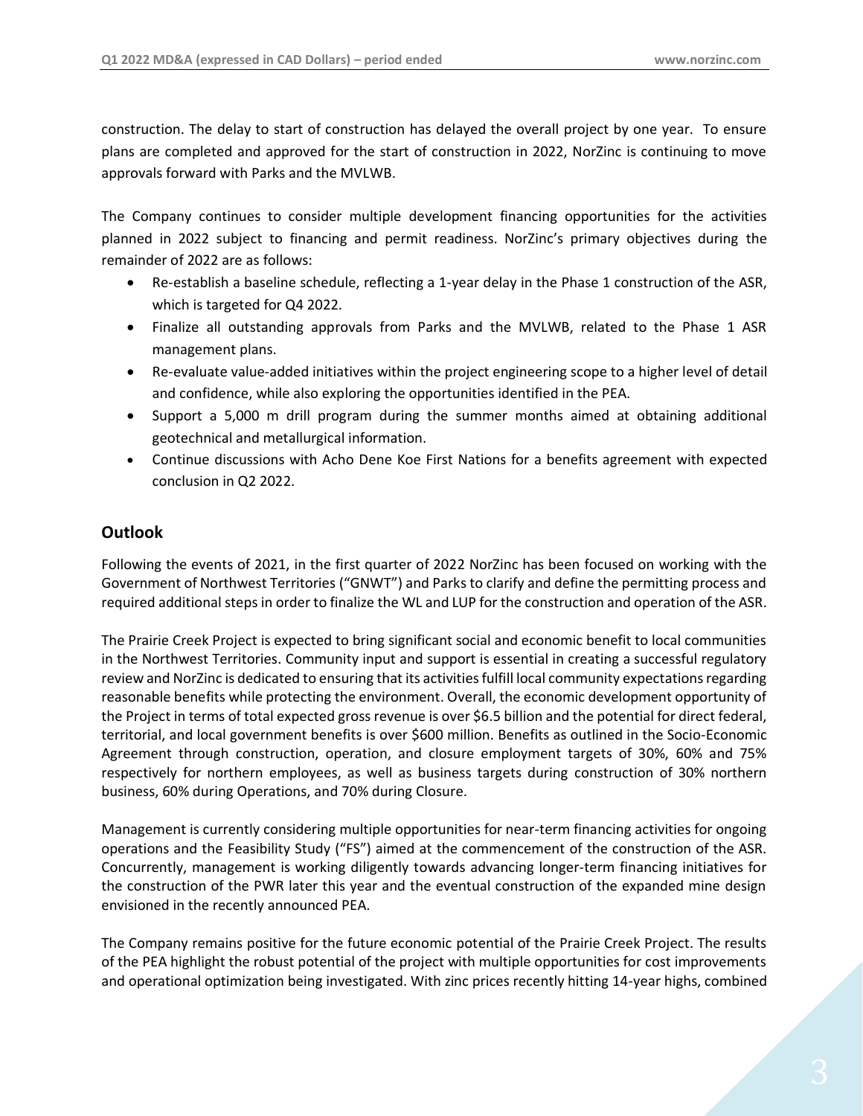construction. The delay to start of construction has delayed the overall project by one year. To ensure plans are completed and approved for the start of construction in 2022, NorZinc is continuing to move approvals forward with Parks and the MVLWB.

The Company continues to consider multiple development financing opportunities for the activities planned in 2022 subject to financing and permit readiness. NorZinc's primary objectives during the remainder of 2022 are as follows:

- Re-establish a baseline schedule, reflecting a 1-year delay in the Phase 1 construction of the ASR, which is targeted for Q4 2022.
- Finalize all outstanding approvals from Parks and the MVLWB, related to the Phase 1 ASR management plans.
- Re-evaluate value-added initiatives within the project engineering scope to a higher level of detail and confidence, while also exploring the opportunities identified in the PEA.
- Support a 5,000 m drill program during the summer months aimed at obtaining additional geotechnical and metallurgical information.
- Continue discussions with Acho Dene Koe First Nations for a benefits agreement with expected conclusion in Q2 2022.

# <span id="page-2-0"></span>**Outlook**

Following the events of 2021, in the first quarter of 2022 NorZinc has been focused on working with the Government of Northwest Territories ("GNWT") and Parks to clarify and define the permitting process and required additional steps in order to finalize the WL and LUP for the construction and operation of the ASR.

The Prairie Creek Project is expected to bring significant social and economic benefit to local communities in the Northwest Territories. Community input and support is essential in creating a successful regulatory review and NorZinc is dedicated to ensuring that its activities fulfill local community expectations regarding reasonable benefits while protecting the environment. Overall, the economic development opportunity of the Project in terms of total expected gross revenue is over \$6.5 billion and the potential for direct federal, territorial, and local government benefits is over \$600 million. Benefits as outlined in the Socio-Economic Agreement through construction, operation, and closure employment targets of 30%, 60% and 75% respectively for northern employees, as well as business targets during construction of 30% northern business, 60% during Operations, and 70% during Closure.

Management is currently considering multiple opportunities for near-term financing activities for ongoing operations and the Feasibility Study ("FS") aimed at the commencement of the construction of the ASR. Concurrently, management is working diligently towards advancing longer-term financing initiatives for the construction of the PWR later this year and the eventual construction of the expanded mine design envisioned in the recently announced PEA.

The Company remains positive for the future economic potential of the Prairie Creek Project. The results of the PEA highlight the robust potential of the project with multiple opportunities for cost improvements and operational optimization being investigated. With zinc prices recently hitting 14-year highs, combined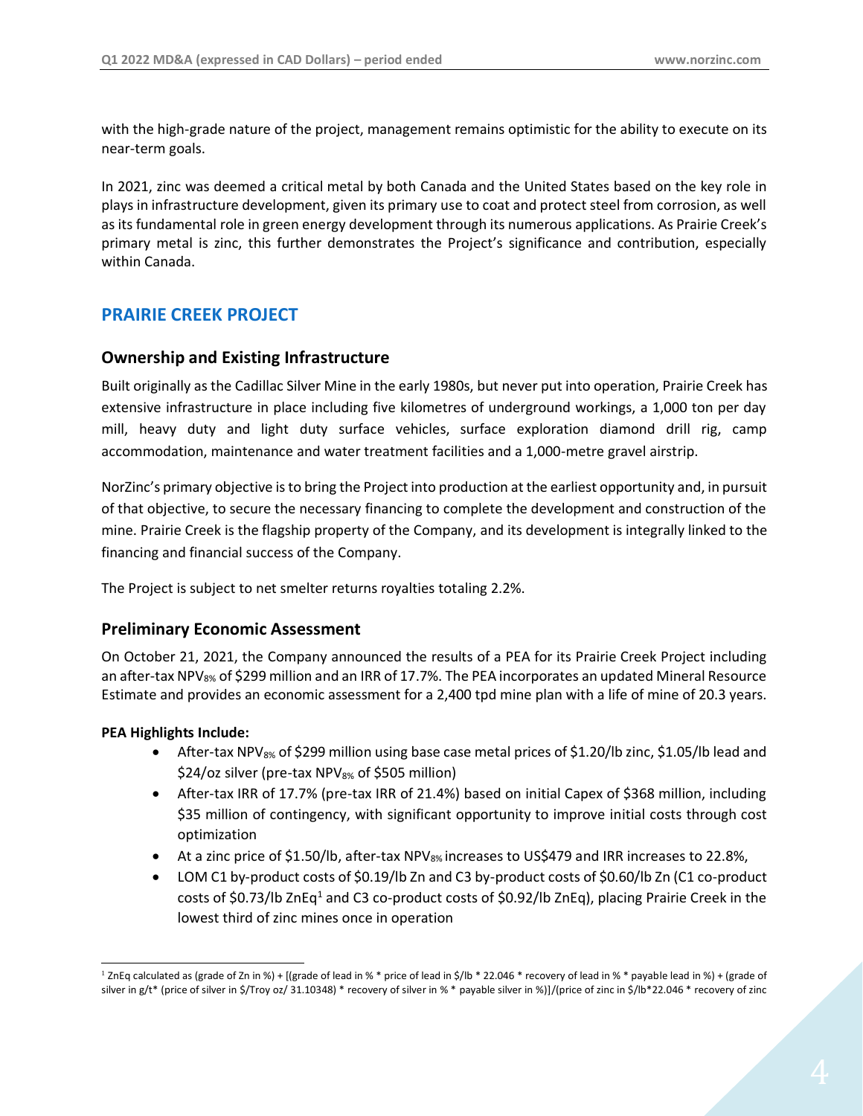with the high-grade nature of the project, management remains optimistic for the ability to execute on its near-term goals.

In 2021, zinc was deemed a critical metal by both Canada and the United States based on the key role in plays in infrastructure development, given its primary use to coat and protect steel from corrosion, as well as its fundamental role in green energy development through its numerous applications. As Prairie Creek's primary metal is zinc, this further demonstrates the Project's significance and contribution, especially within Canada.

# <span id="page-3-0"></span>**PRAIRIE CREEK PROJECT**

# **Ownership and Existing Infrastructure**

Built originally as the Cadillac Silver Mine in the early 1980s, but never put into operation, Prairie Creek has extensive infrastructure in place including five kilometres of underground workings, a 1,000 ton per day mill, heavy duty and light duty surface vehicles, surface exploration diamond drill rig, camp accommodation, maintenance and water treatment facilities and a 1,000-metre gravel airstrip.

NorZinc's primary objective is to bring the Project into production at the earliest opportunity and, in pursuit of that objective, to secure the necessary financing to complete the development and construction of the mine. Prairie Creek is the flagship property of the Company, and its development is integrally linked to the financing and financial success of the Company.

The Project is subject to net smelter returns royalties totaling 2.2%.

# **Preliminary Economic Assessment**

On October 21, 2021, the Company announced the results of a PEA for its Prairie Creek Project including an after-tax NPV<sub>8%</sub> of \$299 million and an IRR of 17.7%. The PEA incorporates an updated Mineral Resource Estimate and provides an economic assessment for a 2,400 tpd mine plan with a life of mine of 20.3 years.

#### **PEA Highlights Include:**

- After-tax NPV $_{8\%}$  of \$299 million using base case metal prices of \$1.20/lb zinc, \$1.05/lb lead and  $$24$ /oz silver (pre-tax NPV $_{8\%}$  of \$505 million)
- After-tax IRR of 17.7% (pre-tax IRR of 21.4%) based on initial Capex of \$368 million, including \$35 million of contingency, with significant opportunity to improve initial costs through cost optimization
- At a zinc price of \$1.50/lb, after-tax NPV $_{8\%}$  increases to US\$479 and IRR increases to 22.8%,
- LOM C1 by-product costs of \$0.19/lb Zn and C3 by-product costs of \$0.60/lb Zn (C1 co-product costs of \$0.73/lb ZnEq<sup>1</sup> and C3 co-product costs of \$0.92/lb ZnEq), placing Prairie Creek in the lowest third of zinc mines once in operation

<sup>&</sup>lt;sup>1</sup> ZnEq calculated as (grade of Zn in %) + [(grade of lead in % \* price of lead in \$/lb \* 22.046 \* recovery of lead in % \* payable lead in %) + (grade of silver in g/t\* (price of silver in \$/Troy oz/ 31.10348) \* recovery of silver in % \* payable silver in %)]/(price of zinc in \$/lb\*22.046 \* recovery of zinc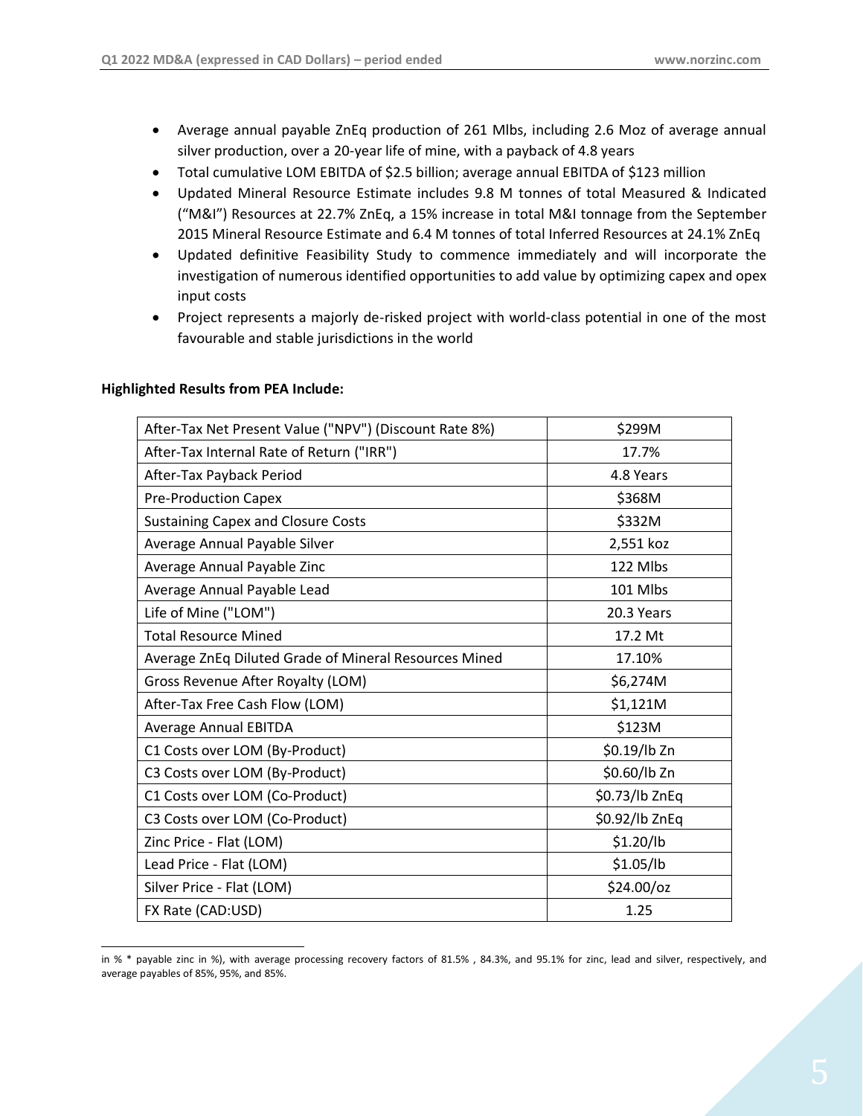- Average annual payable ZnEq production of 261 Mlbs, including 2.6 Moz of average annual silver production, over a 20-year life of mine, with a payback of 4.8 years
- Total cumulative LOM EBITDA of \$2.5 billion; average annual EBITDA of \$123 million
- Updated Mineral Resource Estimate includes 9.8 M tonnes of total Measured & Indicated ("M&I") Resources at 22.7% ZnEq, a 15% increase in total M&I tonnage from the September 2015 Mineral Resource Estimate and 6.4 M tonnes of total Inferred Resources at 24.1% ZnEq
- Updated definitive Feasibility Study to commence immediately and will incorporate the investigation of numerous identified opportunities to add value by optimizing capex and opex input costs
- Project represents a majorly de-risked project with world-class potential in one of the most favourable and stable jurisdictions in the world

| After-Tax Net Present Value ("NPV") (Discount Rate 8%) | \$299M         |
|--------------------------------------------------------|----------------|
| After-Tax Internal Rate of Return ("IRR")              | 17.7%          |
| After-Tax Payback Period                               | 4.8 Years      |
| <b>Pre-Production Capex</b>                            | \$368M         |
| <b>Sustaining Capex and Closure Costs</b>              | \$332M         |
| Average Annual Payable Silver                          | 2,551 koz      |
| Average Annual Payable Zinc                            | 122 Mlbs       |
| Average Annual Payable Lead                            | 101 Mlbs       |
| Life of Mine ("LOM")                                   | 20.3 Years     |
| <b>Total Resource Mined</b>                            | 17.2 Mt        |
| Average ZnEq Diluted Grade of Mineral Resources Mined  | 17.10%         |
| Gross Revenue After Royalty (LOM)                      | \$6,274M       |
| After-Tax Free Cash Flow (LOM)                         | \$1,121M       |
| <b>Average Annual EBITDA</b>                           | \$123M         |
| C1 Costs over LOM (By-Product)                         | \$0.19/lb Zn   |
| C3 Costs over LOM (By-Product)                         | \$0.60/lb Zn   |
| C1 Costs over LOM (Co-Product)                         | \$0.73/lb ZnEq |
| C3 Costs over LOM (Co-Product)                         | \$0.92/lb ZnEq |
| Zinc Price - Flat (LOM)                                | \$1.20/lb      |
| Lead Price - Flat (LOM)                                | \$1.05/lb      |
| Silver Price - Flat (LOM)                              | \$24.00/oz     |
| FX Rate (CAD:USD)                                      | 1.25           |

#### **Highlighted Results from PEA Include:**

in % \* payable zinc in %), with average processing recovery factors of 81.5% , 84.3%, and 95.1% for zinc, lead and silver, respectively, and average payables of 85%, 95%, and 85%.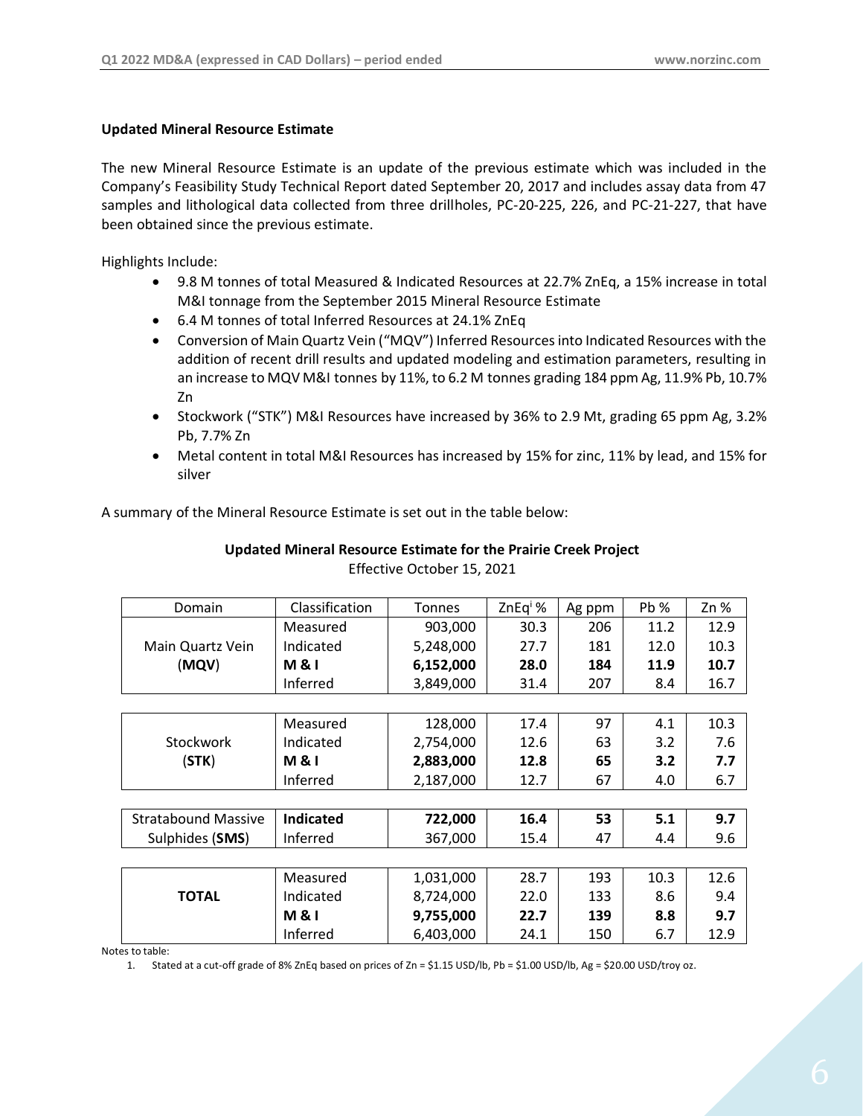#### **Updated Mineral Resource Estimate**

The new Mineral Resource Estimate is an update of the previous estimate which was included in the Company's Feasibility Study Technical Report dated September 20, 2017 and includes assay data from 47 samples and lithological data collected from three drillholes, PC-20-225, 226, and PC-21-227, that have been obtained since the previous estimate.

Highlights Include:

- 9.8 M tonnes of total Measured & Indicated Resources at 22.7% ZnEq, a 15% increase in total M&I tonnage from the September 2015 Mineral Resource Estimate
- 6.4 M tonnes of total Inferred Resources at 24.1% ZnEq
- Conversion of Main Quartz Vein ("MQV") Inferred Resources into Indicated Resources with the addition of recent drill results and updated modeling and estimation parameters, resulting in an increase to MQV M&I tonnes by 11%, to 6.2 M tonnes grading 184 ppm Ag, 11.9% Pb, 10.7% Zn
- Stockwork ("STK") M&I Resources have increased by 36% to 2.9 Mt, grading 65 ppm Ag, 3.2% Pb, 7.7% Zn
- Metal content in total M&I Resources has increased by 15% for zinc, 11% by lead, and 15% for silver

A summary of the Mineral Resource Estimate is set out in the table below:

| Domain                     | Classification   | <b>Tonnes</b> | ZnEq <sup>i</sup> % | Ag ppm | Pb%  | Zn % |
|----------------------------|------------------|---------------|---------------------|--------|------|------|
|                            | Measured         | 903,000       | 30.3                | 206    | 11.2 | 12.9 |
| Main Quartz Vein           | Indicated        | 5,248,000     | 27.7                | 181    | 12.0 | 10.3 |
| (MQV)                      | <b>M&amp;I</b>   | 6,152,000     | 28.0                | 184    | 11.9 | 10.7 |
|                            | Inferred         | 3,849,000     | 31.4                | 207    | 8.4  | 16.7 |
|                            |                  |               |                     |        |      |      |
|                            | Measured         | 128,000       | 17.4                | 97     | 4.1  | 10.3 |
| Stockwork                  | Indicated        | 2,754,000     | 12.6                | 63     | 3.2  | 7.6  |
| (STK)                      | <b>M&amp;I</b>   | 2,883,000     | 12.8                | 65     | 3.2  | 7.7  |
|                            | Inferred         | 2,187,000     | 12.7                | 67     | 4.0  | 6.7  |
|                            |                  |               |                     |        |      |      |
| <b>Stratabound Massive</b> | <b>Indicated</b> | 722,000       | 16.4                | 53     | 5.1  | 9.7  |
| Sulphides (SMS)            | Inferred         | 367,000       | 15.4                | 47     | 4.4  | 9.6  |
|                            |                  |               |                     |        |      |      |
|                            | Measured         | 1,031,000     | 28.7                | 193    | 10.3 | 12.6 |
| <b>TOTAL</b>               | Indicated        | 8,724,000     | 22.0                | 133    | 8.6  | 9.4  |
|                            | <b>M&amp;I</b>   | 9,755,000     | 22.7                | 139    | 8.8  | 9.7  |
|                            | Inferred         | 6,403,000     | 24.1                | 150    | 6.7  | 12.9 |

# **Updated Mineral Resource Estimate for the Prairie Creek Project** Effective October 15, 2021

Notes to table:

1. Stated at a cut-off grade of 8% ZnEq based on prices of Zn = \$1.15 USD/lb, Pb = \$1.00 USD/lb, Ag = \$20.00 USD/troy oz.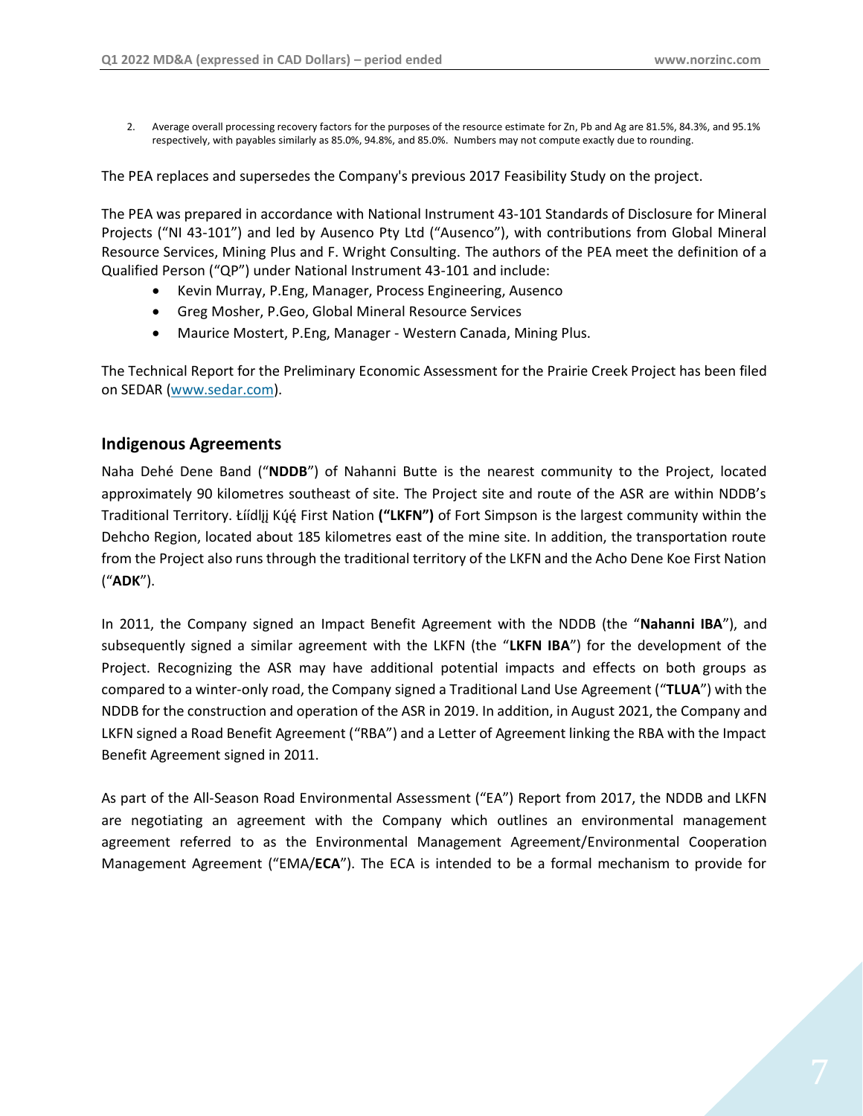2. Average overall processing recovery factors for the purposes of the resource estimate for Zn, Pb and Ag are 81.5%, 84.3%, and 95.1% respectively, with payables similarly as 85.0%, 94.8%, and 85.0%. Numbers may not compute exactly due to rounding.

The PEA replaces and supersedes the Company's previous 2017 Feasibility Study on the project.

The PEA was prepared in accordance with National Instrument 43-101 Standards of Disclosure for Mineral Projects ("NI 43-101") and led by Ausenco Pty Ltd ("Ausenco"), with contributions from Global Mineral Resource Services, Mining Plus and F. Wright Consulting. The authors of the PEA meet the definition of a Qualified Person ("QP") under National Instrument 43-101 and include:

- Kevin Murray, P.Eng, Manager, Process Engineering, Ausenco
- Greg Mosher, P.Geo, Global Mineral Resource Services
- Maurice Mostert, P.Eng, Manager Western Canada, Mining Plus.

The Technical Report for the Preliminary Economic Assessment for the Prairie Creek Project has been filed on SEDAR [\(www.sedar.com\)](http://www.sedar.com/).

#### **Indigenous Agreements**

Naha Dehé Dene Band ("**NDDB**") of Nahanni Butte is the nearest community to the Project, located approximately 90 kilometres southeast of site. The Project site and route of the ASR are within NDDB's Traditional Territory. Łíídlįį Kų́ę́First Nation **("LKFN")** of Fort Simpson is the largest community within the Dehcho Region, located about 185 kilometres east of the mine site. In addition, the transportation route from the Project also runs through the traditional territory of the LKFN and the Acho Dene Koe First Nation ("**ADK**").

In 2011, the Company signed an Impact Benefit Agreement with the NDDB (the "**Nahanni IBA**"), and subsequently signed a similar agreement with the LKFN (the "**LKFN IBA**") for the development of the Project. Recognizing the ASR may have additional potential impacts and effects on both groups as compared to a winter-only road, the Company signed a Traditional Land Use Agreement ("**TLUA**") with the NDDB for the construction and operation of the ASR in 2019. In addition, in August 2021, the Company and LKFN signed a Road Benefit Agreement ("RBA") and a Letter of Agreement linking the RBA with the Impact Benefit Agreement signed in 2011.

As part of the All-Season Road Environmental Assessment ("EA") Report from 2017, the NDDB and LKFN are negotiating an agreement with the Company which outlines an environmental management agreement referred to as the Environmental Management Agreement/Environmental Cooperation Management Agreement ("EMA/**ECA**"). The ECA is intended to be a formal mechanism to provide for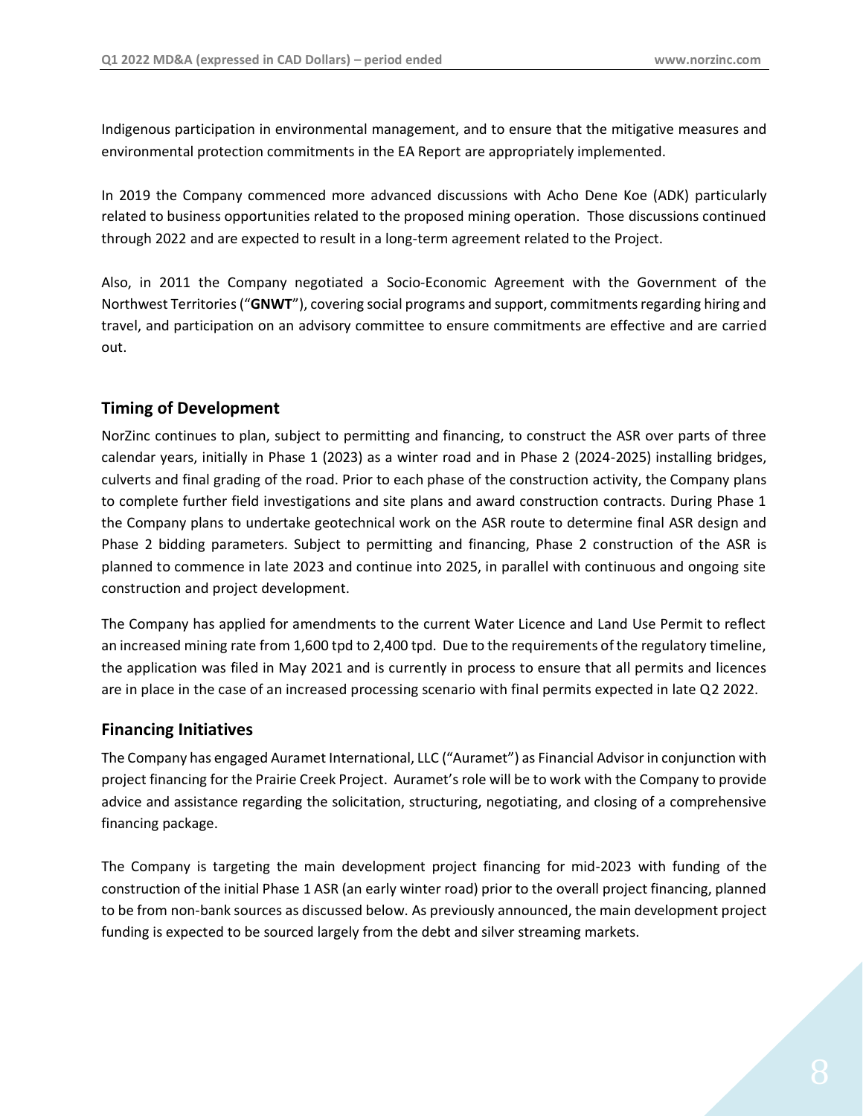Indigenous participation in environmental management, and to ensure that the mitigative measures and environmental protection commitments in the EA Report are appropriately implemented.

In 2019 the Company commenced more advanced discussions with Acho Dene Koe (ADK) particularly related to business opportunities related to the proposed mining operation. Those discussions continued through 2022 and are expected to result in a long-term agreement related to the Project.

Also, in 2011 the Company negotiated a Socio-Economic Agreement with the Government of the Northwest Territories ("**GNWT**"), covering social programs and support, commitments regarding hiring and travel, and participation on an advisory committee to ensure commitments are effective and are carried out.

# **Timing of Development**

NorZinc continues to plan, subject to permitting and financing, to construct the ASR over parts of three calendar years, initially in Phase 1 (2023) as a winter road and in Phase 2 (2024-2025) installing bridges, culverts and final grading of the road. Prior to each phase of the construction activity, the Company plans to complete further field investigations and site plans and award construction contracts. During Phase 1 the Company plans to undertake geotechnical work on the ASR route to determine final ASR design and Phase 2 bidding parameters. Subject to permitting and financing, Phase 2 construction of the ASR is planned to commence in late 2023 and continue into 2025, in parallel with continuous and ongoing site construction and project development.

The Company has applied for amendments to the current Water Licence and Land Use Permit to reflect an increased mining rate from 1,600 tpd to 2,400 tpd. Due to the requirements of the regulatory timeline, the application was filed in May 2021 and is currently in process to ensure that all permits and licences are in place in the case of an increased processing scenario with final permits expected in late Q2 2022.

# **Financing Initiatives**

The Company has engaged Auramet International, LLC ("Auramet") as Financial Advisor in conjunction with project financing for the Prairie Creek Project. Auramet's role will be to work with the Company to provide advice and assistance regarding the solicitation, structuring, negotiating, and closing of a comprehensive financing package.

The Company is targeting the main development project financing for mid-2023 with funding of the construction of the initial Phase 1 ASR (an early winter road) prior to the overall project financing, planned to be from non-bank sources as discussed below. As previously announced, the main development project funding is expected to be sourced largely from the debt and silver streaming markets.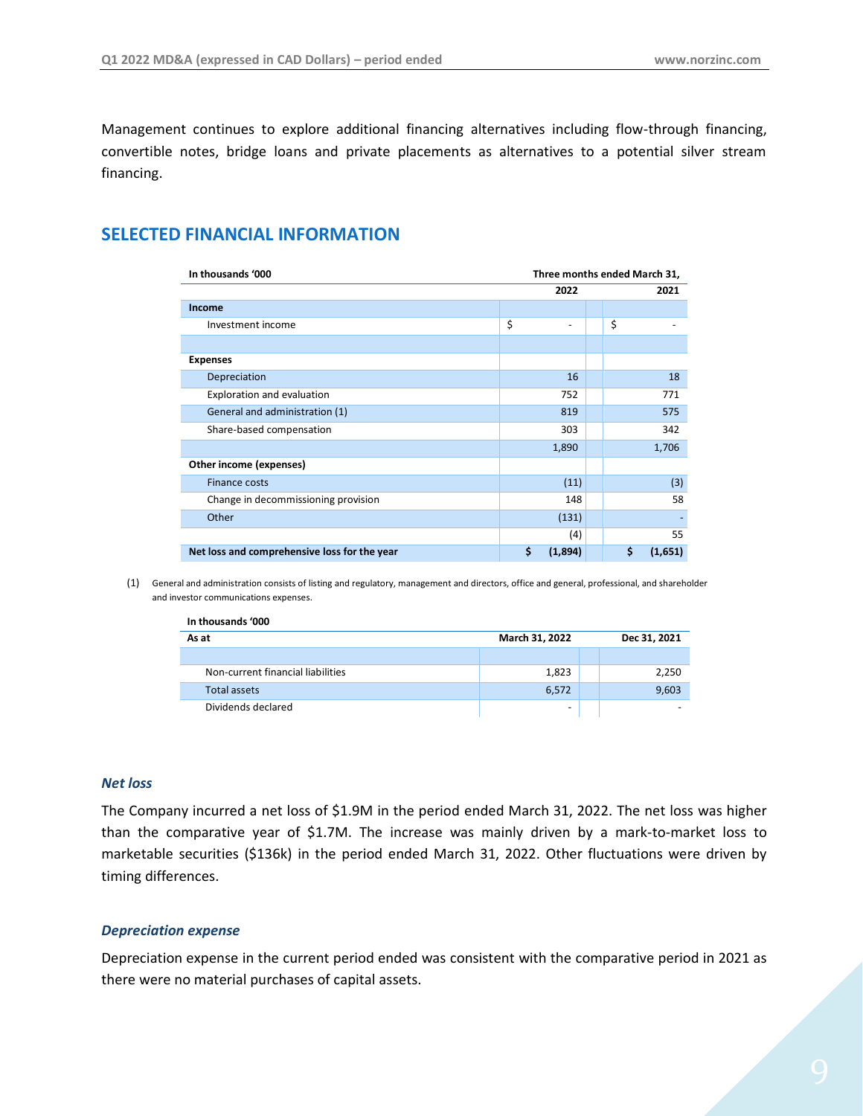Management continues to explore additional financing alternatives including flow-through financing, convertible notes, bridge loans and private placements as alternatives to a potential silver stream financing.

# <span id="page-8-0"></span>**SELECTED FINANCIAL INFORMATION**

| In thousands '000<br>Three months ended March 31, |               |               |
|---------------------------------------------------|---------------|---------------|
|                                                   | 2022          | 2021          |
| Income                                            |               |               |
| Investment income                                 | \$<br>-       | \$            |
|                                                   |               |               |
| <b>Expenses</b>                                   |               |               |
| Depreciation                                      | 16            | 18            |
| Exploration and evaluation                        | 752           | 771           |
| General and administration (1)                    | 819           | 575           |
| Share-based compensation                          | 303           | 342           |
|                                                   | 1,890         | 1,706         |
| Other income (expenses)                           |               |               |
| <b>Finance costs</b>                              | (11)          | (3)           |
| Change in decommissioning provision               | 148           | 58            |
| Other                                             | (131)         |               |
|                                                   | (4)           | 55            |
| Net loss and comprehensive loss for the year      | \$<br>(1,894) | \$<br>(1,651) |

(1) General and administration consists of listing and regulatory, management and directors, office and general, professional, and shareholder and investor communications expenses.

| In thousands '000                 |                |  |              |  |  |  |  |
|-----------------------------------|----------------|--|--------------|--|--|--|--|
| As at                             | March 31, 2022 |  | Dec 31, 2021 |  |  |  |  |
|                                   |                |  |              |  |  |  |  |
| Non-current financial liabilities | 1,823          |  | 2,250        |  |  |  |  |
| <b>Total assets</b>               | 6,572          |  | 9,603        |  |  |  |  |
| Dividends declared                | -              |  |              |  |  |  |  |

#### *Net loss*

The Company incurred a net loss of \$1.9M in the period ended March 31, 2022. The net loss was higher than the comparative year of \$1.7M. The increase was mainly driven by a mark-to-market loss to marketable securities (\$136k) in the period ended March 31, 2022. Other fluctuations were driven by timing differences.

#### *Depreciation expense*

Depreciation expense in the current period ended was consistent with the comparative period in 2021 as there were no material purchases of capital assets.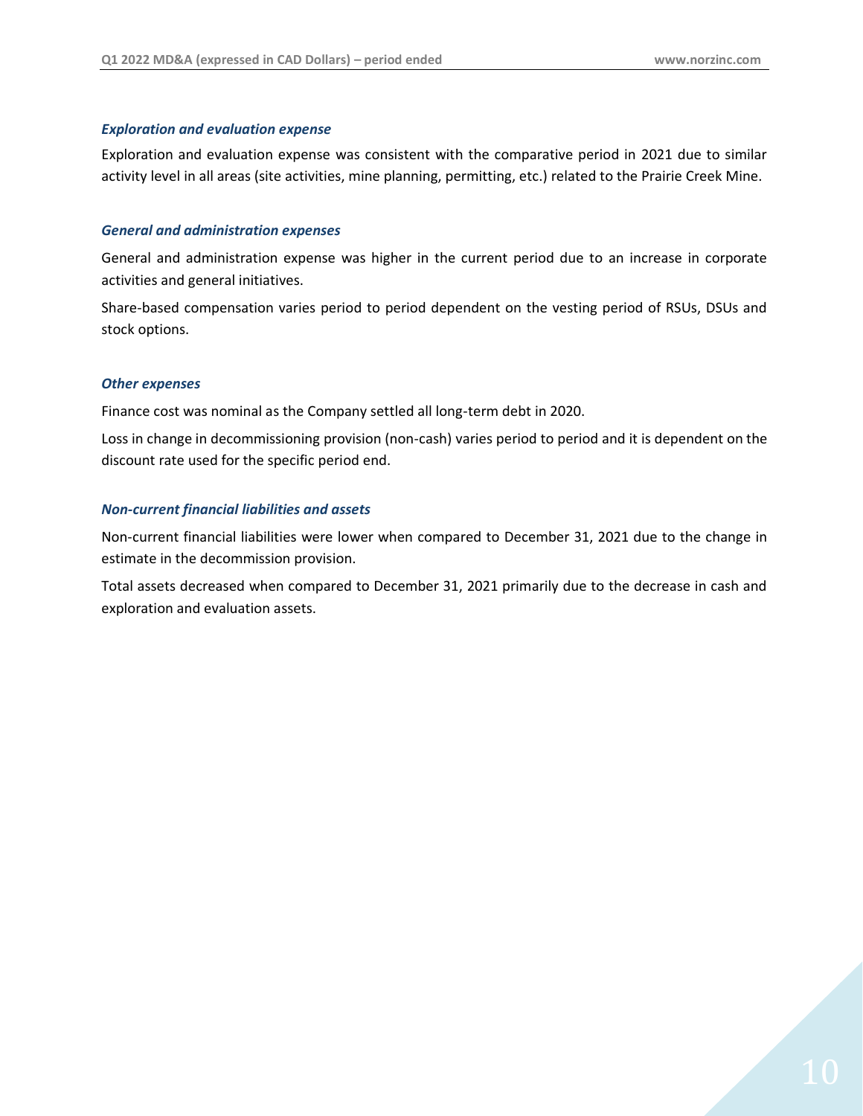#### *Exploration and evaluation expense*

Exploration and evaluation expense was consistent with the comparative period in 2021 due to similar activity level in all areas (site activities, mine planning, permitting, etc.) related to the Prairie Creek Mine.

#### *General and administration expenses*

General and administration expense was higher in the current period due to an increase in corporate activities and general initiatives.

Share-based compensation varies period to period dependent on the vesting period of RSUs, DSUs and stock options.

#### *Other expenses*

Finance cost was nominal as the Company settled all long-term debt in 2020.

Loss in change in decommissioning provision (non-cash) varies period to period and it is dependent on the discount rate used for the specific period end.

#### *Non-current financial liabilities and assets*

Non-current financial liabilities were lower when compared to December 31, 2021 due to the change in estimate in the decommission provision.

Total assets decreased when compared to December 31, 2021 primarily due to the decrease in cash and exploration and evaluation assets.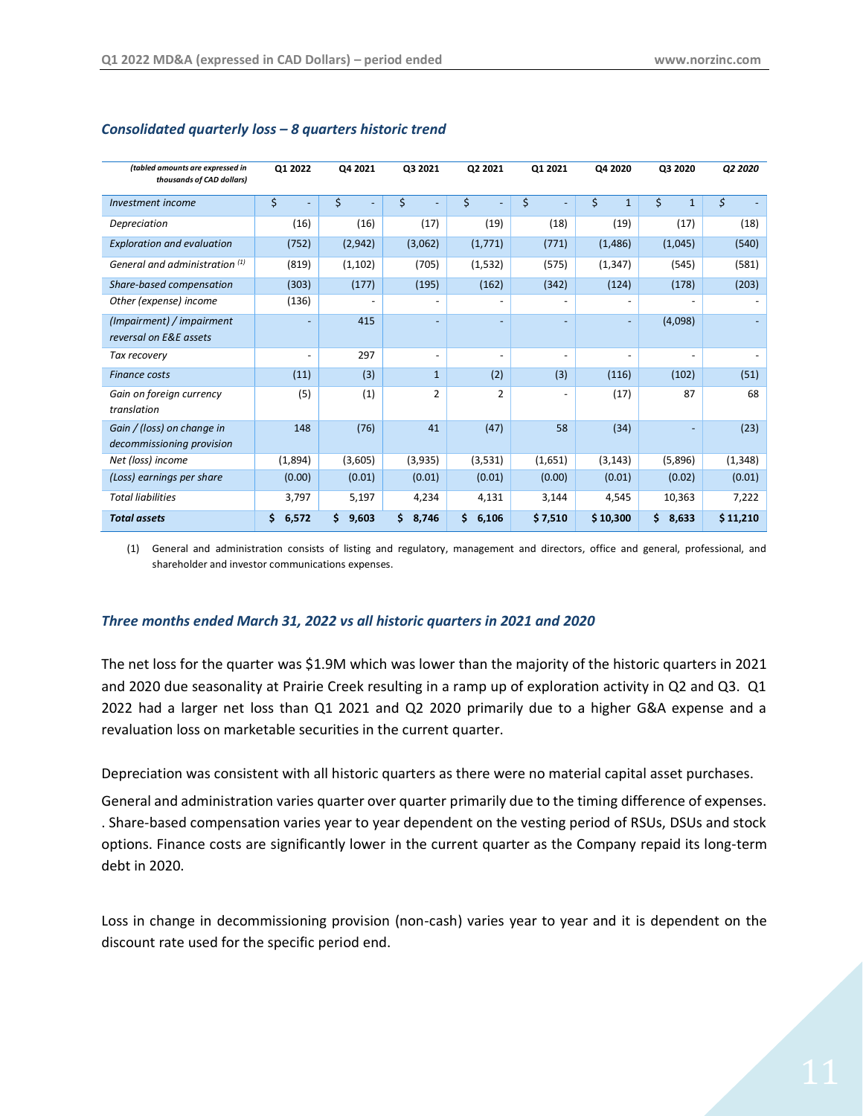| (tabled amounts are expressed in<br>thousands of CAD dollars) | Q1 2022     | Q4 2021     | Q3 2021                  | Q2 2021        | Q1 2021                  | Q4 2020            | Q3 2020            | Q2 2020      |
|---------------------------------------------------------------|-------------|-------------|--------------------------|----------------|--------------------------|--------------------|--------------------|--------------|
| Investment income                                             | \$          | \$          | \$                       | \$             | \$                       | \$<br>$\mathbf{1}$ | \$<br>$\mathbf{1}$ | $\mathsf{S}$ |
| Depreciation                                                  | (16)        | (16)        | (17)                     | (19)           | (18)                     | (19)               | (17)               | (18)         |
| <b>Exploration and evaluation</b>                             | (752)       | (2,942)     | (3,062)                  | (1,771)        | (771)                    | (1, 486)           | (1,045)            | (540)        |
| General and administration (1)                                | (819)       | (1, 102)    | (705)                    | (1, 532)       | (575)                    | (1, 347)           | (545)              | (581)        |
| Share-based compensation                                      | (303)       | (177)       | (195)                    | (162)          | (342)                    | (124)              | (178)              | (203)        |
| Other (expense) income                                        | (136)       |             |                          |                | ٠                        |                    |                    |              |
| (Impairment) / impairment                                     |             | 415         |                          |                | $\overline{\phantom{0}}$ |                    | (4,098)            |              |
| reversal on E&E assets                                        |             |             |                          |                |                          |                    |                    |              |
| Tax recovery                                                  |             | 297         | $\overline{\phantom{0}}$ |                | -                        |                    |                    |              |
| <b>Finance costs</b>                                          | (11)        | (3)         | $\mathbf{1}$             | (2)            | (3)                      | (116)              | (102)              | (51)         |
| Gain on foreign currency                                      | (5)         | (1)         | $\overline{2}$           | $\overline{2}$ | -                        | (17)               | 87                 | 68           |
| translation                                                   |             |             |                          |                |                          |                    |                    |              |
| Gain / (loss) on change in                                    | 148         | (76)        | 41                       | (47)           | 58                       | (34)               |                    | (23)         |
| decommissioning provision                                     |             |             |                          |                |                          |                    |                    |              |
| Net (loss) income                                             | (1,894)     | (3,605)     | (3,935)                  | (3,531)        | (1,651)                  | (3, 143)           | (5,896)            | (1, 348)     |
| (Loss) earnings per share                                     | (0.00)      | (0.01)      | (0.01)                   | (0.01)         | (0.00)                   | (0.01)             | (0.02)             | (0.01)       |
| <b>Total liabilities</b>                                      | 3,797       | 5,197       | 4,234                    | 4,131          | 3,144                    | 4,545              | 10,363             | 7,222        |
| <b>Total assets</b>                                           | \$<br>6,572 | \$<br>9,603 | Ś<br>8,746               | \$<br>6,106    | \$7,510                  | \$10,300           | \$<br>8,633        | \$11,210     |

#### *Consolidated quarterly loss – 8 quarters historic trend*

(1) General and administration consists of listing and regulatory, management and directors, office and general, professional, and shareholder and investor communications expenses.

#### *Three months ended March 31, 2022 vs all historic quarters in 2021 and 2020*

The net loss for the quarter was \$1.9M which was lower than the majority of the historic quarters in 2021 and 2020 due seasonality at Prairie Creek resulting in a ramp up of exploration activity in Q2 and Q3. Q1 2022 had a larger net loss than Q1 2021 and Q2 2020 primarily due to a higher G&A expense and a revaluation loss on marketable securities in the current quarter.

Depreciation was consistent with all historic quarters as there were no material capital asset purchases.

General and administration varies quarter over quarter primarily due to the timing difference of expenses. . Share-based compensation varies year to year dependent on the vesting period of RSUs, DSUs and stock options. Finance costs are significantly lower in the current quarter as the Company repaid its long-term debt in 2020.

Loss in change in decommissioning provision (non-cash) varies year to year and it is dependent on the discount rate used for the specific period end.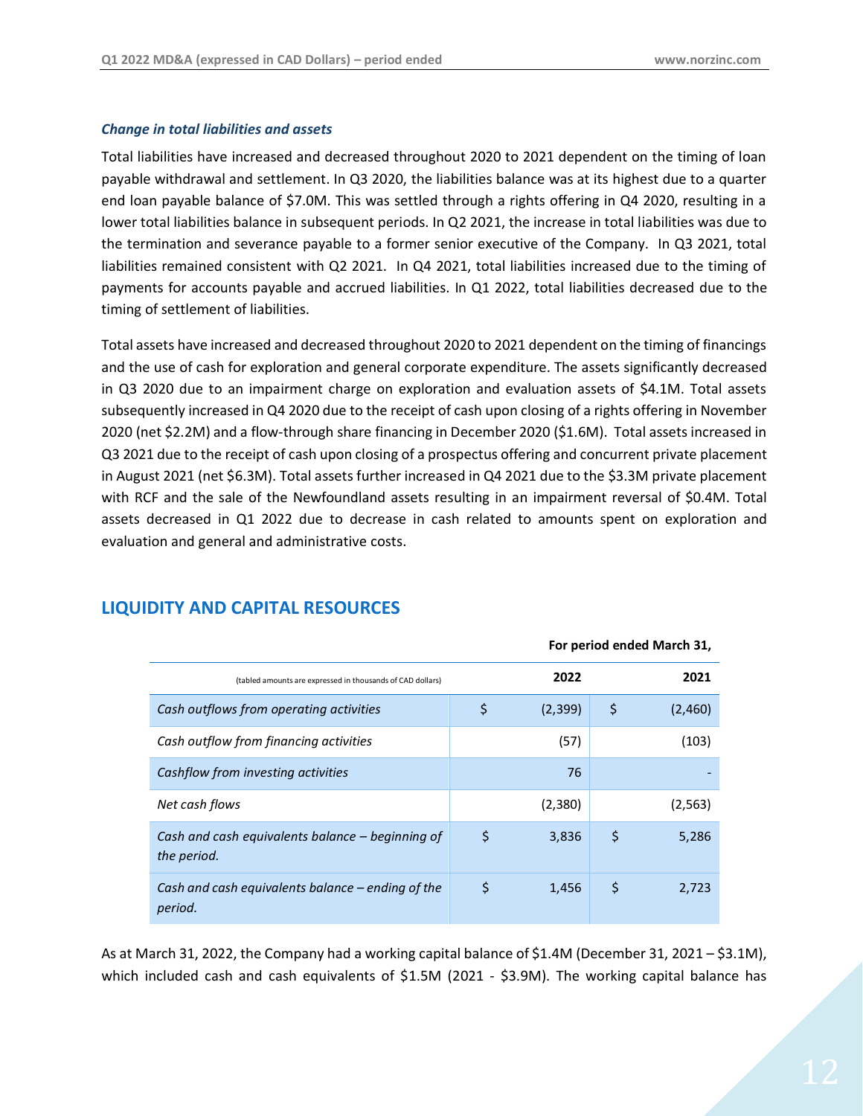#### *Change in total liabilities and assets*

Total liabilities have increased and decreased throughout 2020 to 2021 dependent on the timing of loan payable withdrawal and settlement. In Q3 2020, the liabilities balance was at its highest due to a quarter end loan payable balance of \$7.0M. This was settled through a rights offering in Q4 2020, resulting in a lower total liabilities balance in subsequent periods. In Q2 2021, the increase in total liabilities was due to the termination and severance payable to a former senior executive of the Company. In Q3 2021, total liabilities remained consistent with Q2 2021. In Q4 2021, total liabilities increased due to the timing of payments for accounts payable and accrued liabilities. In Q1 2022, total liabilities decreased due to the timing of settlement of liabilities.

Total assets have increased and decreased throughout 2020 to 2021 dependent on the timing of financings and the use of cash for exploration and general corporate expenditure. The assets significantly decreased in Q3 2020 due to an impairment charge on exploration and evaluation assets of \$4.1M. Total assets subsequently increased in Q4 2020 due to the receipt of cash upon closing of a rights offering in November 2020 (net \$2.2M) and a flow-through share financing in December 2020 (\$1.6M). Total assets increased in Q3 2021 due to the receipt of cash upon closing of a prospectus offering and concurrent private placement in August 2021 (net \$6.3M). Total assets further increased in Q4 2021 due to the \$3.3M private placement with RCF and the sale of the Newfoundland assets resulting in an impairment reversal of \$0.4M. Total assets decreased in Q1 2022 due to decrease in cash related to amounts spent on exploration and evaluation and general and administrative costs.

|                                                                 |    | For period ended March 31, |               |
|-----------------------------------------------------------------|----|----------------------------|---------------|
| (tabled amounts are expressed in thousands of CAD dollars)      |    | 2022                       | 2021          |
| Cash outflows from operating activities                         | \$ | (2,399)                    | \$<br>(2,460) |
| Cash outflow from financing activities                          |    | (57)                       | (103)         |
| Cashflow from investing activities                              |    | 76                         |               |
| Net cash flows                                                  |    | (2,380)                    | (2, 563)      |
| Cash and cash equivalents balance - beginning of<br>the period. | \$ | 3,836                      | \$<br>5,286   |
| Cash and cash equivalents balance – ending of the<br>period.    | \$ | 1,456                      | \$<br>2.723   |

# <span id="page-11-0"></span>**LIQUIDITY AND CAPITAL RESOURCES**

As at March 31, 2022, the Company had a working capital balance of \$1.4M (December 31, 2021 – \$3.1M), which included cash and cash equivalents of \$1.5M (2021 - \$3.9M). The working capital balance has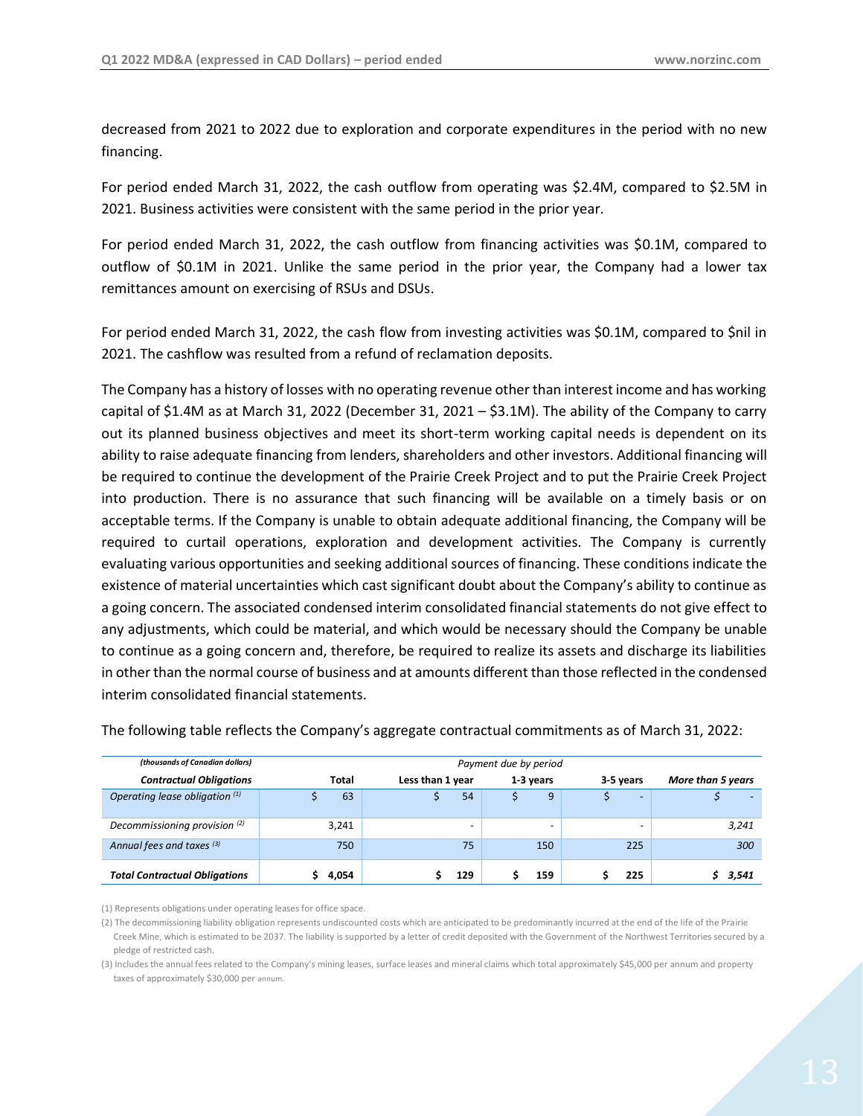decreased from 2021 to 2022 due to exploration and corporate expenditures in the period with no new financing.

For period ended March 31, 2022, the cash outflow from operating was \$2.4M, compared to \$2.5M in 2021. Business activities were consistent with the same period in the prior year.

For period ended March 31, 2022, the cash outflow from financing activities was \$0.1M, compared to outflow of \$0.1M in 2021. Unlike the same period in the prior year, the Company had a lower tax remittances amount on exercising of RSUs and DSUs.

For period ended March 31, 2022, the cash flow from investing activities was \$0.1M, compared to \$nil in 2021. The cashflow was resulted from a refund of reclamation deposits.

The Company has a history of losses with no operating revenue other than interest income and has working capital of \$1.4M as at March 31, 2022 (December 31, 2021 – \$3.1M). The ability of the Company to carry out its planned business objectives and meet its short-term working capital needs is dependent on its ability to raise adequate financing from lenders, shareholders and other investors. Additional financing will be required to continue the development of the Prairie Creek Project and to put the Prairie Creek Project into production. There is no assurance that such financing will be available on a timely basis or on acceptable terms. If the Company is unable to obtain adequate additional financing, the Company will be required to curtail operations, exploration and development activities. The Company is currently evaluating various opportunities and seeking additional sources of financing. These conditions indicate the existence of material uncertainties which cast significant doubt about the Company's ability to continue as a going concern. The associated condensed interim consolidated financial statements do not give effect to any adjustments, which could be material, and which would be necessary should the Company be unable to continue as a going concern and, therefore, be required to realize its assets and discharge its liabilities in other than the normal course of business and at amounts different than those reflected in the condensed interim consolidated financial statements.

| (thousands of Canadian dollars)          | Payment due by period |                          |           |                          |                   |  |
|------------------------------------------|-----------------------|--------------------------|-----------|--------------------------|-------------------|--|
| <b>Contractual Obligations</b>           | Total                 | Less than 1 year         | 1-3 years | 3-5 years                | More than 5 years |  |
| Operating lease obligation (1)           | 63                    | 54                       | 9         | $\overline{\phantom{a}}$ | $\sim$            |  |
| Decommissioning provision <sup>(2)</sup> | 3,241                 | $\overline{\phantom{0}}$ | -         |                          | 3,241             |  |
| Annual fees and taxes (3)                | 750                   | 75                       | 150       | 225                      | 300               |  |
| <b>Total Contractual Obligations</b>     | 4,054                 | 129                      | 159       | 225                      | 3,541             |  |

The following table reflects the Company's aggregate contractual commitments as of March 31, 2022:

(1) Represents obligations under operating leases for office space.

(2) The decommissioning liability obligation represents undiscounted costs which are anticipated to be predominantly incurred at the end of the life of the Prairie Creek Mine, which is estimated to be 2037. The liability is supported by a letter of credit deposited with the Government of the Northwest Territories secured by a pledge of restricted cash.

(3) Includes the annual fees related to the Company's mining leases, surface leases and mineral claims which total approximately \$45,000 per annum and property taxes of approximately \$30,000 per annum.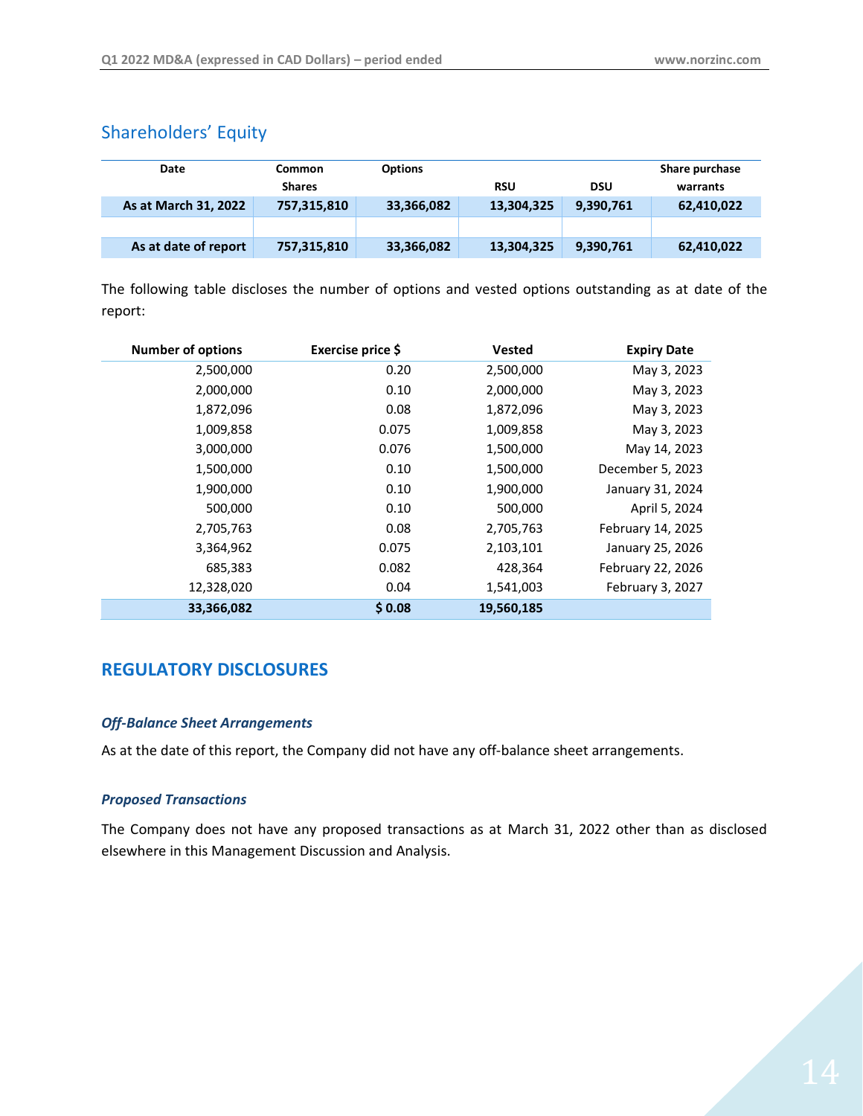# <span id="page-13-0"></span>Shareholders' Equity

| Date                 | <b>Common</b><br><b>Shares</b> | <b>Options</b> | <b>RSU</b> | DSU       | Share purchase<br>warrants |
|----------------------|--------------------------------|----------------|------------|-----------|----------------------------|
| As at March 31, 2022 | 757,315,810                    | 33,366,082     | 13,304,325 | 9,390,761 | 62,410,022                 |
|                      |                                |                |            |           |                            |
| As at date of report | 757,315,810                    | 33,366,082     | 13,304,325 | 9,390,761 | 62,410,022                 |

The following table discloses the number of options and vested options outstanding as at date of the report:

| <b>Number of options</b> | Exercise price \$ | <b>Vested</b> | <b>Expiry Date</b> |
|--------------------------|-------------------|---------------|--------------------|
| 2,500,000                | 0.20              | 2,500,000     | May 3, 2023        |
| 2,000,000                | 0.10              | 2,000,000     | May 3, 2023        |
| 1,872,096                | 0.08              | 1,872,096     | May 3, 2023        |
| 1,009,858                | 0.075             | 1,009,858     | May 3, 2023        |
| 3,000,000                | 0.076             | 1,500,000     | May 14, 2023       |
| 1,500,000                | 0.10              | 1,500,000     | December 5, 2023   |
| 1,900,000                | 0.10              | 1,900,000     | January 31, 2024   |
| 500,000                  | 0.10              | 500,000       | April 5, 2024      |
| 2,705,763                | 0.08              | 2,705,763     | February 14, 2025  |
| 3,364,962                | 0.075             | 2,103,101     | January 25, 2026   |
| 685,383                  | 0.082             | 428,364       | February 22, 2026  |
| 12,328,020               | 0.04              | 1,541,003     | February 3, 2027   |
| 33,366,082               | \$0.08            | 19,560,185    |                    |

# <span id="page-13-1"></span>**REGULATORY DISCLOSURES**

#### *Off-Balance Sheet Arrangements*

As at the date of this report, the Company did not have any off-balance sheet arrangements.

#### *Proposed Transactions*

The Company does not have any proposed transactions as at March 31, 2022 other than as disclosed elsewhere in this Management Discussion and Analysis.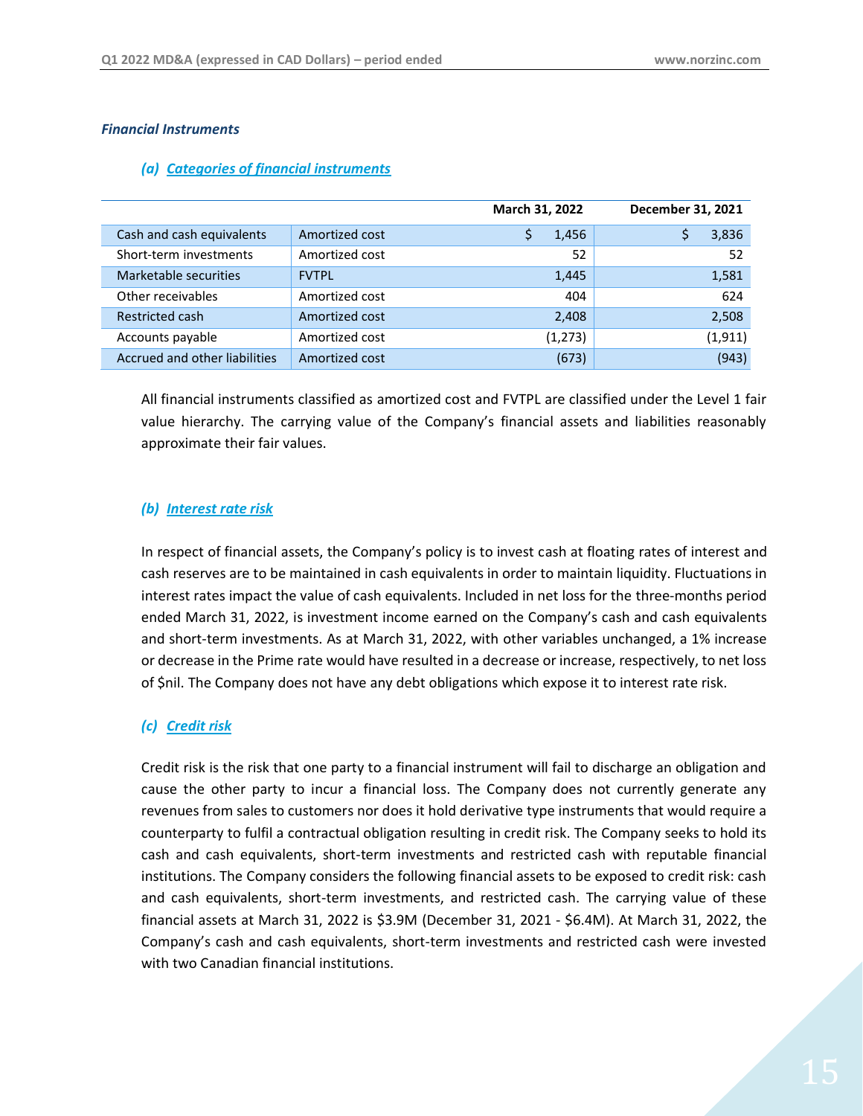#### *Financial Instruments*

|                               |                | March 31, 2022 | December 31, 2021 |
|-------------------------------|----------------|----------------|-------------------|
| Cash and cash equivalents     | Amortized cost | 1,456          | 3,836             |
| Short-term investments        | Amortized cost | 52             | 52                |
| Marketable securities         | <b>FVTPL</b>   | 1,445          | 1,581             |
| Other receivables             | Amortized cost | 404            | 624               |
| Restricted cash               | Amortized cost | 2,408          | 2,508             |
| Accounts payable              | Amortized cost | (1,273)        | (1, 911)          |
| Accrued and other liabilities | Amortized cost | (673)          | (943)             |

#### *(a) Categories of financial instruments*

All financial instruments classified as amortized cost and FVTPL are classified under the Level 1 fair value hierarchy. The carrying value of the Company's financial assets and liabilities reasonably approximate their fair values.

#### *(b) Interest rate risk*

In respect of financial assets, the Company's policy is to invest cash at floating rates of interest and cash reserves are to be maintained in cash equivalents in order to maintain liquidity. Fluctuations in interest rates impact the value of cash equivalents. Included in net loss for the three-months period ended March 31, 2022, is investment income earned on the Company's cash and cash equivalents and short-term investments. As at March 31, 2022, with other variables unchanged, a 1% increase or decrease in the Prime rate would have resulted in a decrease or increase, respectively, to net loss of \$nil. The Company does not have any debt obligations which expose it to interest rate risk.

# *(c) Credit risk*

Credit risk is the risk that one party to a financial instrument will fail to discharge an obligation and cause the other party to incur a financial loss. The Company does not currently generate any revenues from sales to customers nor does it hold derivative type instruments that would require a counterparty to fulfil a contractual obligation resulting in credit risk. The Company seeks to hold its cash and cash equivalents, short-term investments and restricted cash with reputable financial institutions. The Company considers the following financial assets to be exposed to credit risk: cash and cash equivalents, short-term investments, and restricted cash. The carrying value of these financial assets at March 31, 2022 is \$3.9M (December 31, 2021 - \$6.4M). At March 31, 2022, the Company's cash and cash equivalents, short-term investments and restricted cash were invested with two Canadian financial institutions.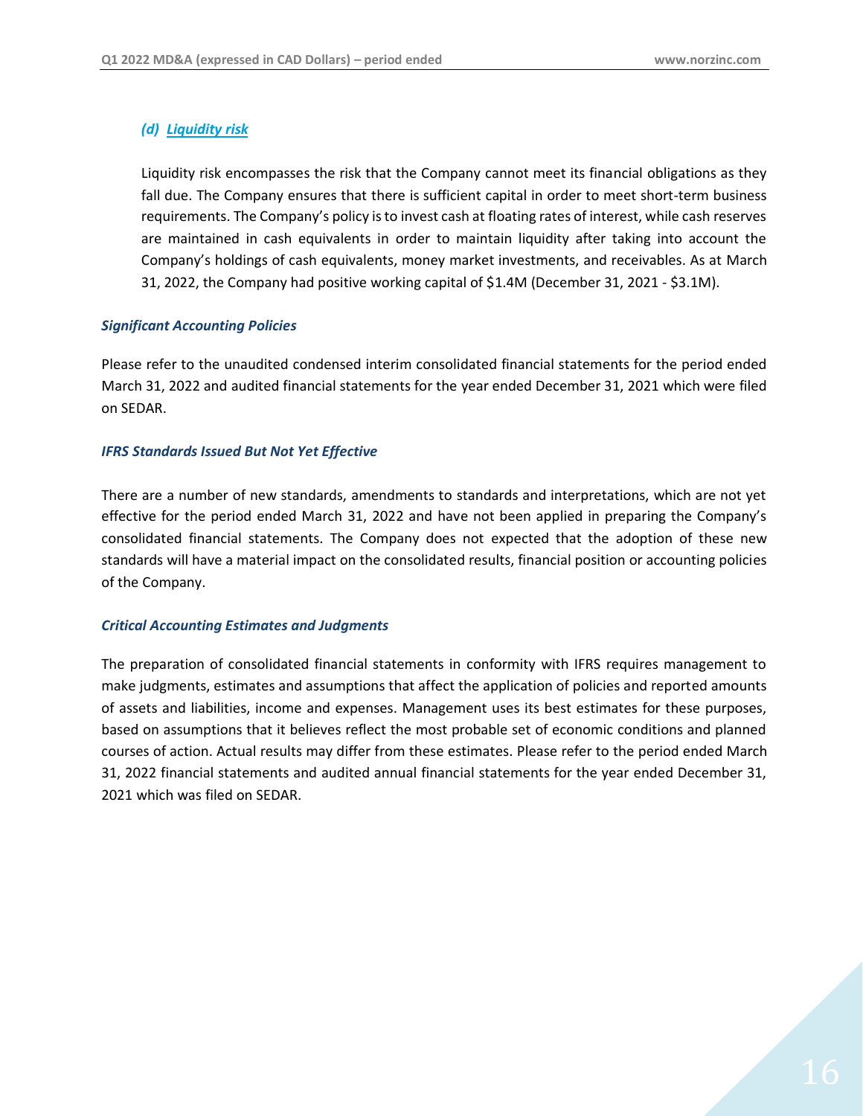#### *(d) Liquidity risk*

Liquidity risk encompasses the risk that the Company cannot meet its financial obligations as they fall due. The Company ensures that there is sufficient capital in order to meet short-term business requirements. The Company's policy is to invest cash at floating rates of interest, while cash reserves are maintained in cash equivalents in order to maintain liquidity after taking into account the Company's holdings of cash equivalents, money market investments, and receivables. As at March 31, 2022, the Company had positive working capital of \$1.4M (December 31, 2021 - \$3.1M).

#### *Significant Accounting Policies*

Please refer to the unaudited condensed interim consolidated financial statements for the period ended March 31, 2022 and audited financial statements for the year ended December 31, 2021 which were filed on SEDAR.

#### *IFRS Standards Issued But Not Yet Effective*

There are a number of new standards, amendments to standards and interpretations, which are not yet effective for the period ended March 31, 2022 and have not been applied in preparing the Company's consolidated financial statements. The Company does not expected that the adoption of these new standards will have a material impact on the consolidated results, financial position or accounting policies of the Company.

#### *Critical Accounting Estimates and Judgments*

The preparation of consolidated financial statements in conformity with IFRS requires management to make judgments, estimates and assumptions that affect the application of policies and reported amounts of assets and liabilities, income and expenses. Management uses its best estimates for these purposes, based on assumptions that it believes reflect the most probable set of economic conditions and planned courses of action. Actual results may differ from these estimates. Please refer to the period ended March 31, 2022 financial statements and audited annual financial statements for the year ended December 31, 2021 which was filed on SEDAR.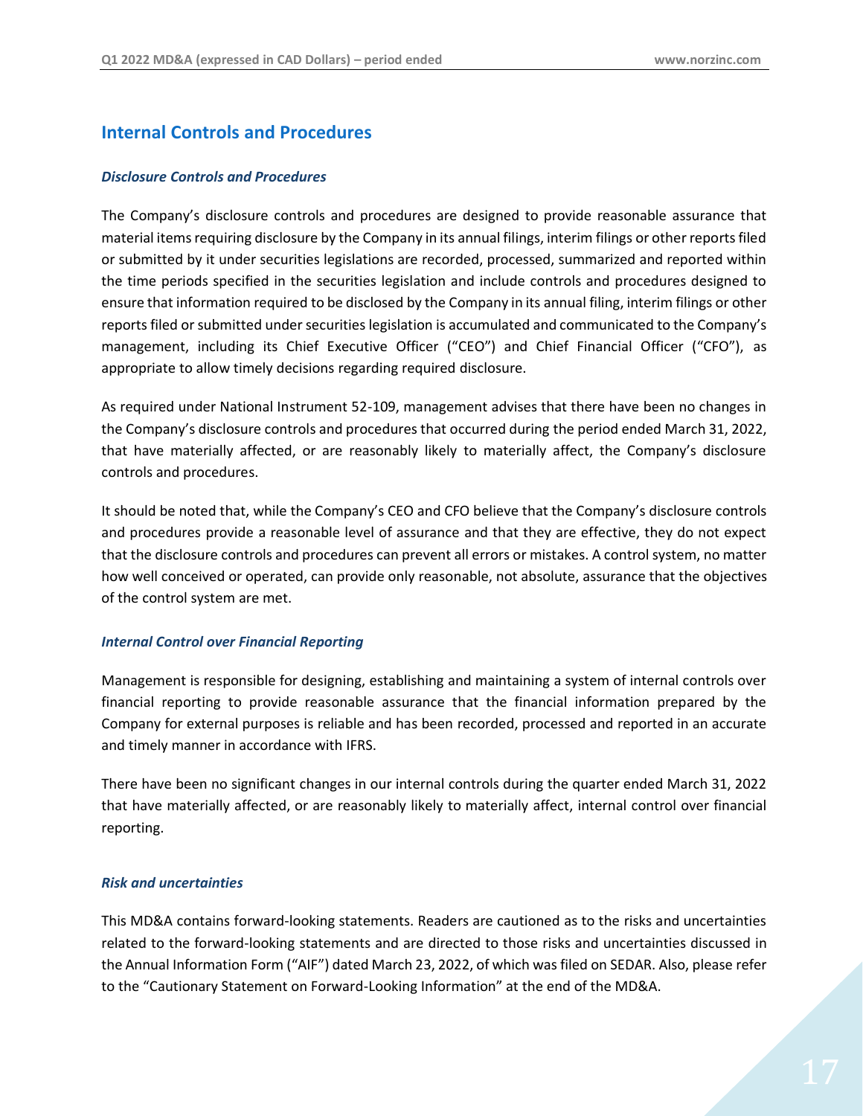# **Internal Controls and Procedures**

#### *Disclosure Controls and Procedures*

The Company's disclosure controls and procedures are designed to provide reasonable assurance that material items requiring disclosure by the Company in its annual filings, interim filings or other reports filed or submitted by it under securities legislations are recorded, processed, summarized and reported within the time periods specified in the securities legislation and include controls and procedures designed to ensure that information required to be disclosed by the Company in its annual filing, interim filings or other reports filed or submitted under securities legislation is accumulated and communicated to the Company's management, including its Chief Executive Officer ("CEO") and Chief Financial Officer ("CFO"), as appropriate to allow timely decisions regarding required disclosure.

As required under National Instrument 52-109, management advises that there have been no changes in the Company's disclosure controls and procedures that occurred during the period ended March 31, 2022, that have materially affected, or are reasonably likely to materially affect, the Company's disclosure controls and procedures.

It should be noted that, while the Company's CEO and CFO believe that the Company's disclosure controls and procedures provide a reasonable level of assurance and that they are effective, they do not expect that the disclosure controls and procedures can prevent all errors or mistakes. A control system, no matter how well conceived or operated, can provide only reasonable, not absolute, assurance that the objectives of the control system are met.

#### *Internal Control over Financial Reporting*

Management is responsible for designing, establishing and maintaining a system of internal controls over financial reporting to provide reasonable assurance that the financial information prepared by the Company for external purposes is reliable and has been recorded, processed and reported in an accurate and timely manner in accordance with IFRS.

There have been no significant changes in our internal controls during the quarter ended March 31, 2022 that have materially affected, or are reasonably likely to materially affect, internal control over financial reporting.

#### *Risk and uncertainties*

This MD&A contains forward-looking statements. Readers are cautioned as to the risks and uncertainties related to the forward-looking statements and are directed to those risks and uncertainties discussed in the Annual Information Form ("AIF") dated March 23, 2022, of which was filed on SEDAR. Also, please refer to the "Cautionary Statement on Forward-Looking Information" at the end of the MD&A.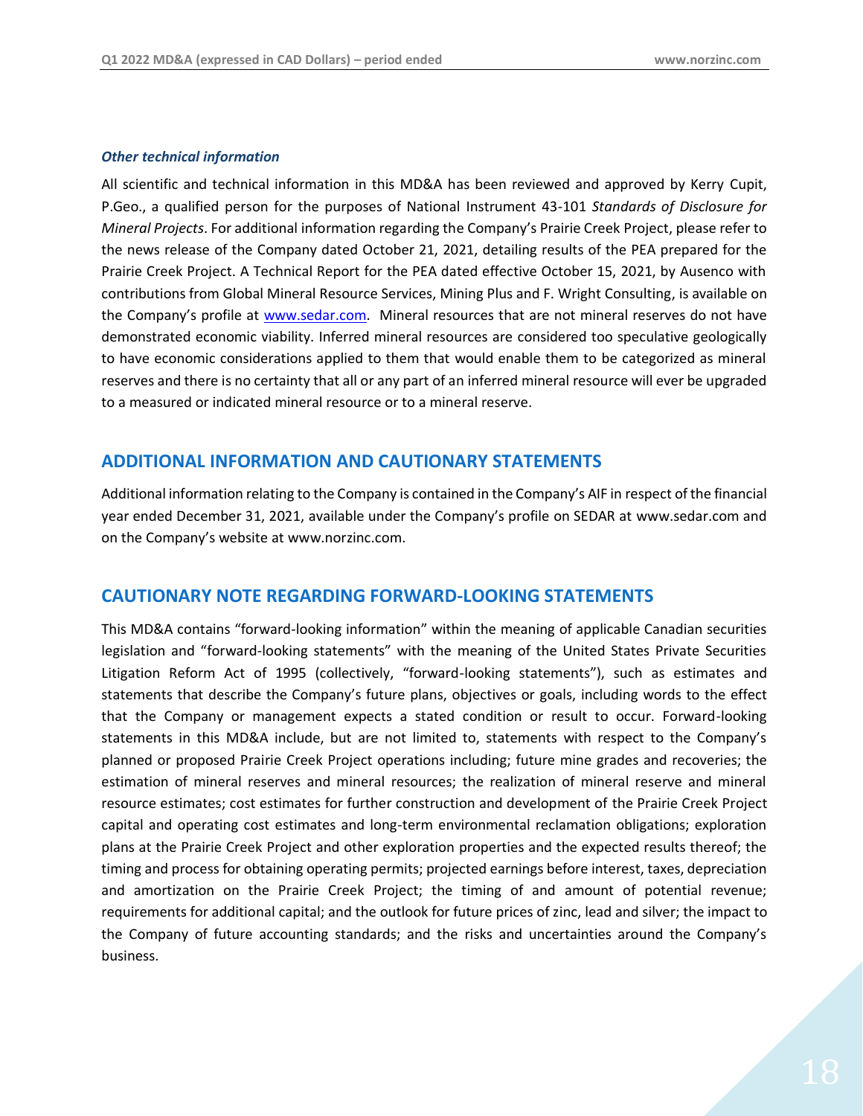#### *Other technical information*

All scientific and technical information in this MD&A has been reviewed and approved by Kerry Cupit, P.Geo., a qualified person for the purposes of National Instrument 43-101 *Standards of Disclosure for Mineral Projects*. For additional information regarding the Company's Prairie Creek Project, please refer to the news release of the Company dated October 21, 2021, detailing results of the PEA prepared for the Prairie Creek Project. A Technical Report for the PEA dated effective October 15, 2021, by Ausenco with contributions from Global Mineral Resource Services, Mining Plus and F. Wright Consulting, is available on the Company's profile at [www.sedar.com.](http://www.sedar.com/) Mineral resources that are not mineral reserves do not have demonstrated economic viability. Inferred mineral resources are considered too speculative geologically to have economic considerations applied to them that would enable them to be categorized as mineral reserves and there is no certainty that all or any part of an inferred mineral resource will ever be upgraded to a measured or indicated mineral resource or to a mineral reserve.

# <span id="page-17-0"></span>**ADDITIONAL INFORMATION AND CAUTIONARY STATEMENTS**

Additional information relating to the Company is contained in the Company's AIF in respect of the financial year ended December 31, 2021, available under the Company's profile on SEDAR at [www.sedar.com](file://///czcdc/Finance/Financial%20Statements/2016/CZN/Quarterly/CZN%20-%20Q1%20-%202016-03-31/A2%20-%20MD&A/www.sedar.com) and on the Company's website at [www.norzinc.com.](http://www.norzinc.com/)

# <span id="page-17-1"></span>**CAUTIONARY NOTE REGARDING FORWARD-LOOKING STATEMENTS**

This MD&A contains "forward-looking information" within the meaning of applicable Canadian securities legislation and "forward-looking statements" with the meaning of the United States Private Securities Litigation Reform Act of 1995 (collectively, "forward-looking statements"), such as estimates and statements that describe the Company's future plans, objectives or goals, including words to the effect that the Company or management expects a stated condition or result to occur. Forward-looking statements in this MD&A include, but are not limited to, statements with respect to the Company's planned or proposed Prairie Creek Project operations including; future mine grades and recoveries; the estimation of mineral reserves and mineral resources; the realization of mineral reserve and mineral resource estimates; cost estimates for further construction and development of the Prairie Creek Project capital and operating cost estimates and long-term environmental reclamation obligations; exploration plans at the Prairie Creek Project and other exploration properties and the expected results thereof; the timing and process for obtaining operating permits; projected earnings before interest, taxes, depreciation and amortization on the Prairie Creek Project; the timing of and amount of potential revenue; requirements for additional capital; and the outlook for future prices of zinc, lead and silver; the impact to the Company of future accounting standards; and the risks and uncertainties around the Company's business.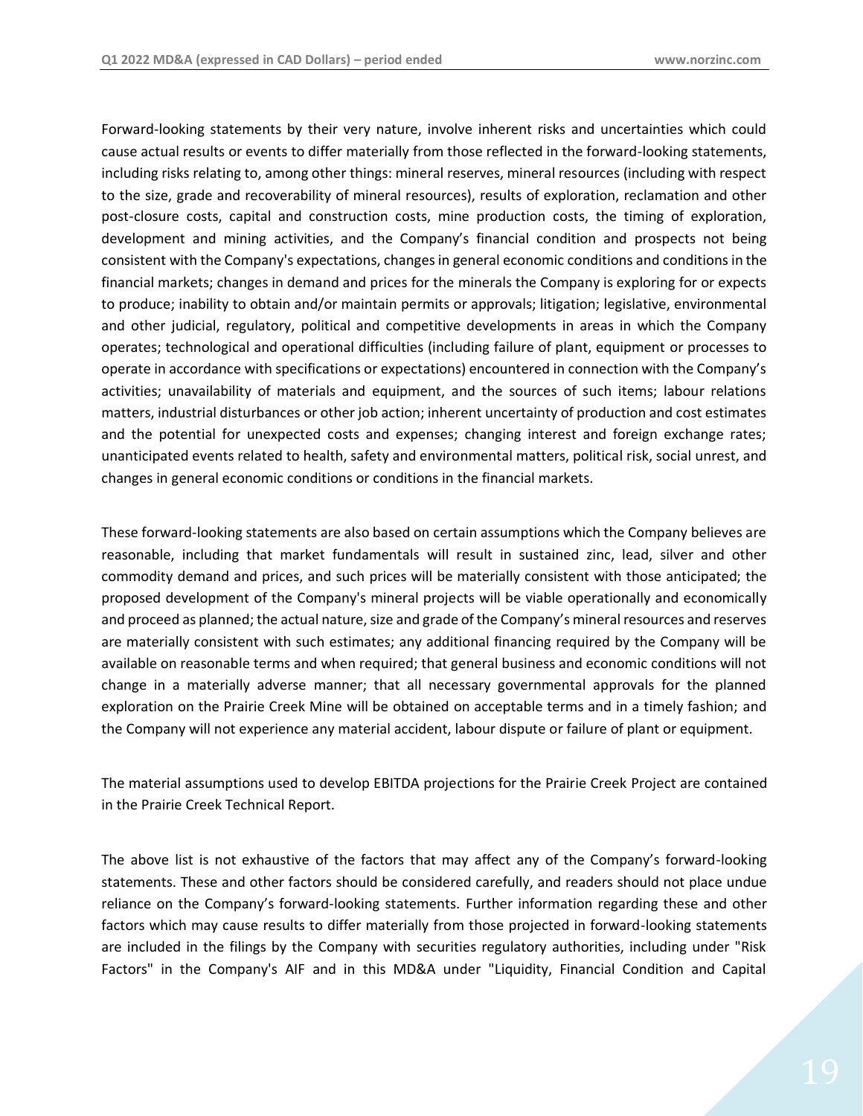Forward-looking statements by their very nature, involve inherent risks and uncertainties which could cause actual results or events to differ materially from those reflected in the forward-looking statements, including risks relating to, among other things: mineral reserves, mineral resources (including with respect to the size, grade and recoverability of mineral resources), results of exploration, reclamation and other post-closure costs, capital and construction costs, mine production costs, the timing of exploration, development and mining activities, and the Company's financial condition and prospects not being consistent with the Company's expectations, changes in general economic conditions and conditions in the financial markets; changes in demand and prices for the minerals the Company is exploring for or expects to produce; inability to obtain and/or maintain permits or approvals; litigation; legislative, environmental and other judicial, regulatory, political and competitive developments in areas in which the Company operates; technological and operational difficulties (including failure of plant, equipment or processes to operate in accordance with specifications or expectations) encountered in connection with the Company's activities; unavailability of materials and equipment, and the sources of such items; labour relations matters, industrial disturbances or other job action; inherent uncertainty of production and cost estimates and the potential for unexpected costs and expenses; changing interest and foreign exchange rates; unanticipated events related to health, safety and environmental matters, political risk, social unrest, and changes in general economic conditions or conditions in the financial markets.

These forward-looking statements are also based on certain assumptions which the Company believes are reasonable, including that market fundamentals will result in sustained zinc, lead, silver and other commodity demand and prices, and such prices will be materially consistent with those anticipated; the proposed development of the Company's mineral projects will be viable operationally and economically and proceed as planned; the actual nature, size and grade of the Company's mineral resources and reserves are materially consistent with such estimates; any additional financing required by the Company will be available on reasonable terms and when required; that general business and economic conditions will not change in a materially adverse manner; that all necessary governmental approvals for the planned exploration on the Prairie Creek Mine will be obtained on acceptable terms and in a timely fashion; and the Company will not experience any material accident, labour dispute or failure of plant or equipment.

The material assumptions used to develop EBITDA projections for the Prairie Creek Project are contained in the Prairie Creek Technical Report.

The above list is not exhaustive of the factors that may affect any of the Company's forward-looking statements. These and other factors should be considered carefully, and readers should not place undue reliance on the Company's forward-looking statements. Further information regarding these and other factors which may cause results to differ materially from those projected in forward-looking statements are included in the filings by the Company with securities regulatory authorities, including under "Risk Factors" in the Company's AIF and in this MD&A under "Liquidity, Financial Condition and Capital